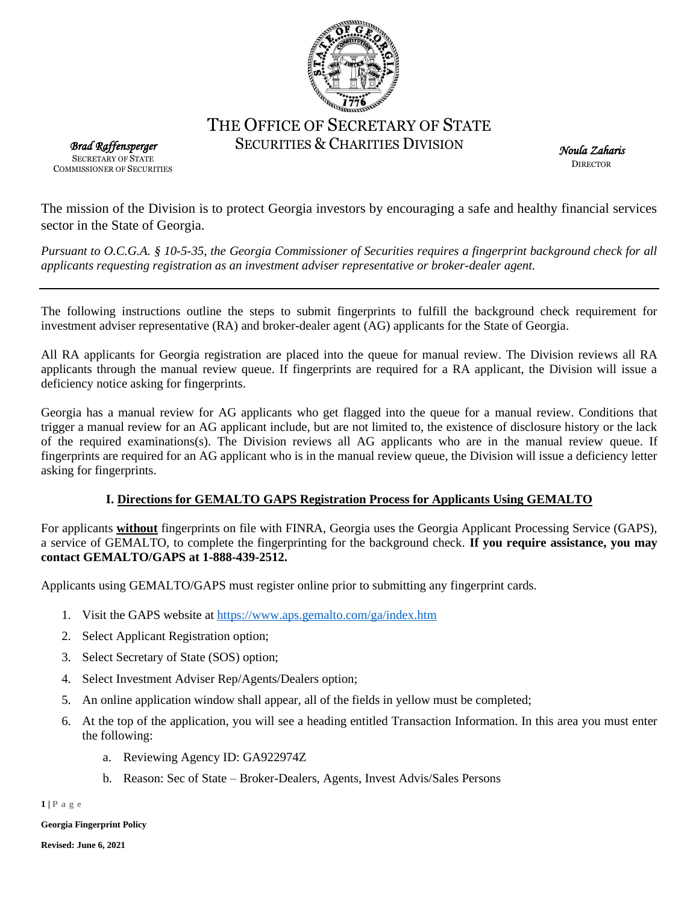

# THE OFFICE OF SECRETARY OF STATE SECURITIES & CHARITIES DIVISION

*Brad Raffensperger*  SECRETARY OF STATE COMMISSIONER OF SECURITIES

*Noula Zaharis*  **DIRECTOR** 

The mission of the Division is to protect Georgia investors by encouraging a safe and healthy financial services sector in the State of Georgia.

*Pursuant to O.C.G.A. § 10-5-35, the Georgia Commissioner of Securities requires a fingerprint background check for all applicants requesting registration as an investment adviser representative or broker-dealer agent.*

The following instructions outline the steps to submit fingerprints to fulfill the background check requirement for investment adviser representative (RA) and broker-dealer agent (AG) applicants for the State of Georgia.

All RA applicants for Georgia registration are placed into the queue for manual review. The Division reviews all RA applicants through the manual review queue. If fingerprints are required for a RA applicant, the Division will issue a deficiency notice asking for fingerprints.

Georgia has a manual review for AG applicants who get flagged into the queue for a manual review. Conditions that trigger a manual review for an AG applicant include, but are not limited to, the existence of disclosure history or the lack of the required examinations(s). The Division reviews all AG applicants who are in the manual review queue. If fingerprints are required for an AG applicant who is in the manual review queue, the Division will issue a deficiency letter asking for fingerprints.

## **I. Directions for GEMALTO GAPS Registration Process for Applicants Using GEMALTO**

For applicants **without** fingerprints on file with FINRA, Georgia uses the Georgia Applicant Processing Service (GAPS), a service of GEMALTO, to complete the fingerprinting for the background check. **If you require assistance, you may contact GEMALTO/GAPS at 1-888-439-2512.**

Applicants using GEMALTO/GAPS must register online prior to submitting any fingerprint cards.

- 1. Visit the GAPS website at<https://www.aps.gemalto.com/ga/index.htm>
- 2. Select Applicant Registration option;
- 3. Select Secretary of State (SOS) option;
- 4. Select Investment Adviser Rep/Agents/Dealers option;
- 5. An online application window shall appear, all of the fields in yellow must be completed;
- 6. At the top of the application, you will see a heading entitled Transaction Information. In this area you must enter the following:
	- a. Reviewing Agency ID: GA922974Z
	- b. Reason: Sec of State Broker-Dealers, Agents, Invest Advis/Sales Persons

**1 | P a g e**